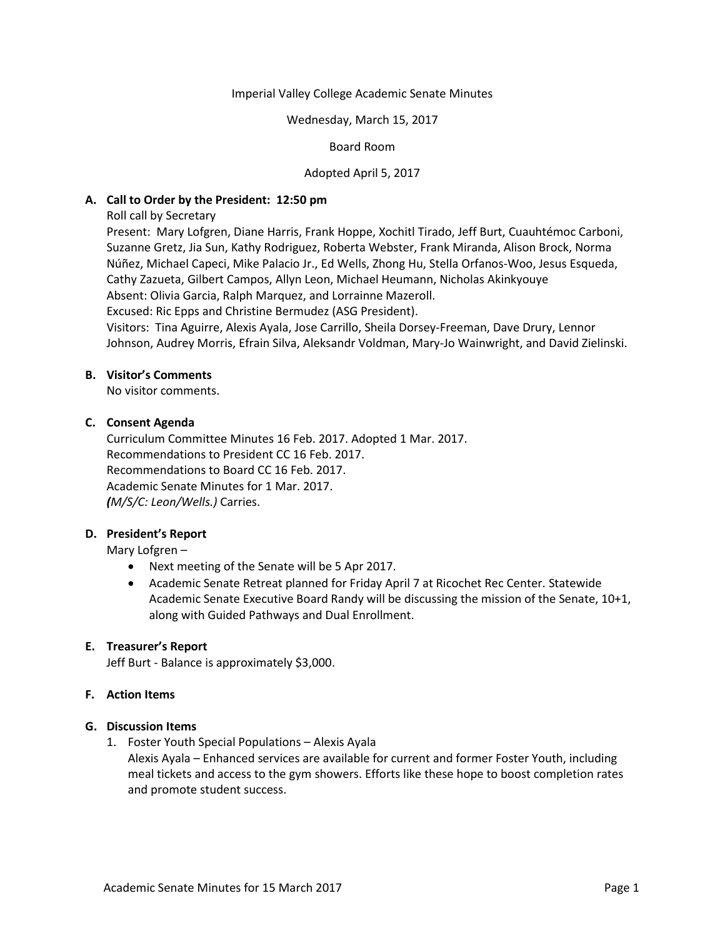### Imperial Valley College Academic Senate Minutes

### Wednesday, March 15, 2017

## Board Room

## Adopted April 5, 2017

## **A. Call to Order by the President: 12:50 pm**

Roll call by Secretary

Present: Mary Lofgren, Diane Harris, Frank Hoppe, Xochitl Tirado, Jeff Burt, Cuauhtémoc Carboni, Suzanne Gretz, Jia Sun, Kathy Rodriguez, Roberta Webster, Frank Miranda, Alison Brock, Norma Núñez, Michael Capeci, Mike Palacio Jr., Ed Wells, Zhong Hu, Stella Orfanos-Woo, Jesus Esqueda, Cathy Zazueta, Gilbert Campos, Allyn Leon, Michael Heumann, Nicholas Akinkyouye Absent: Olivia Garcia, Ralph Marquez, and Lorrainne Mazeroll.

Excused: Ric Epps and Christine Bermudez (ASG President).

Visitors: Tina Aguirre, Alexis Ayala, Jose Carrillo, Sheila Dorsey-Freeman, Dave Drury, Lennor Johnson, Audrey Morris, Efrain Silva, Aleksandr Voldman, Mary-Jo Wainwright, and David Zielinski.

### **B. Visitor's Comments**

No visitor comments.

## **C. Consent Agenda**

Curriculum Committee Minutes 16 Feb. 2017. Adopted 1 Mar. 2017. Recommendations to President CC 16 Feb. 2017. Recommendations to Board CC 16 Feb. 2017. Academic Senate Minutes for 1 Mar. 2017. *(M/S/C: Leon/Wells.)* Carries.

# **D. President's Report**

Mary Lofgren –

- Next meeting of the Senate will be 5 Apr 2017.
- Academic Senate Retreat planned for Friday April 7 at Ricochet Rec Center. Statewide Academic Senate Executive Board Randy will be discussing the mission of the Senate, 10+1, along with Guided Pathways and Dual Enrollment.

### **E. Treasurer's Report**

Jeff Burt - Balance is approximately \$3,000.

### **F. Action Items**

### **G. Discussion Items**

1. Foster Youth Special Populations – Alexis Ayala

Alexis Ayala – Enhanced services are available for current and former Foster Youth, including meal tickets and access to the gym showers. Efforts like these hope to boost completion rates and promote student success.